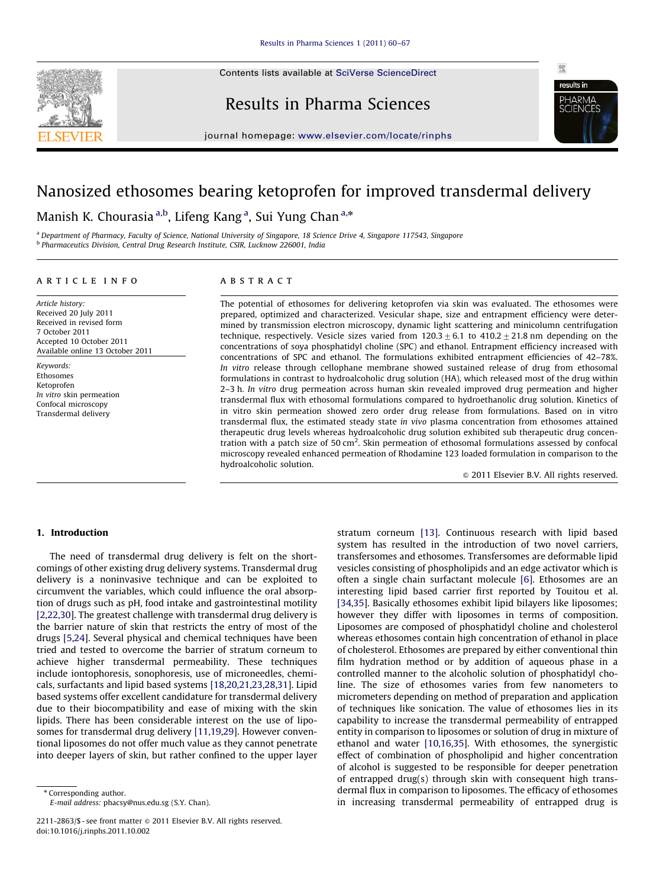Contents lists available at [SciVerse ScienceDirect](www.elsevier.com/locate/rinphs)







journal homepage: <www.elsevier.com/locate/rinphs>

# Nanosized ethosomes bearing ketoprofen for improved transdermal delivery

Manish K. Chourasia <sup>a,b</sup>, Lifeng Kang <sup>a</sup>, Sui Yung Chan <sup>a,</sup>\*

<sup>a</sup> Department of Pharmacy, Faculty of Science, National University of Singapore, 18 Science Drive 4, Singapore 117543, Singapore <sup>b</sup> Pharmaceutics Division, Central Drug Research Institute, CSIR, Lucknow 226001, India

## article info

Article history: Received 20 July 2011 Received in revised form 7 October 2011 Accepted 10 October 2011 Available online 13 October 2011

Keywords: Ethosomes Ketoprofen In vitro skin permeation Confocal microscopy Transdermal delivery

# ABSTRACT

The potential of ethosomes for delivering ketoprofen via skin was evaluated. The ethosomes were prepared, optimized and characterized. Vesicular shape, size and entrapment efficiency were determined by transmission electron microscopy, dynamic light scattering and minicolumn centrifugation technique, respectively. Vesicle sizes varied from  $120.3 \pm 6.1$  to  $410.2 \pm 21.8$  nm depending on the concentrations of soya phosphatidyl choline (SPC) and ethanol. Entrapment efficiency increased with concentrations of SPC and ethanol. The formulations exhibited entrapment efficiencies of 42–78%. In vitro release through cellophane membrane showed sustained release of drug from ethosomal formulations in contrast to hydroalcoholic drug solution (HA), which released most of the drug within 2-3 h. In vitro drug permeation across human skin revealed improved drug permeation and higher transdermal flux with ethosomal formulations compared to hydroethanolic drug solution. Kinetics of in vitro skin permeation showed zero order drug release from formulations. Based on in vitro transdermal flux, the estimated steady state in vivo plasma concentration from ethosomes attained therapeutic drug levels whereas hydroalcoholic drug solution exhibited sub therapeutic drug concentration with a patch size of 50 cm<sup>2</sup>. Skin permeation of ethosomal formulations assessed by confocal microscopy revealed enhanced permeation of Rhodamine 123 loaded formulation in comparison to the hydroalcoholic solution.

 $\odot$  2011 Elsevier B.V. All rights reserved.

# 1. Introduction

The need of transdermal drug delivery is felt on the shortcomings of other existing drug delivery systems. Transdermal drug delivery is a noninvasive technique and can be exploited to circumvent the variables, which could influence the oral absorption of drugs such as pH, food intake and gastrointestinal motility [\[2,22,30](#page-7-0)]. The greatest challenge with transdermal drug delivery is the barrier nature of skin that restricts the entry of most of the drugs [\[5,24\]](#page-7-0). Several physical and chemical techniques have been tried and tested to overcome the barrier of stratum corneum to achieve higher transdermal permeability. These techniques include iontophoresis, sonophoresis, use of microneedles, chemicals, surfactants and lipid based systems [\[18,20](#page-7-0),[21,23,28,31\]](#page-7-0). Lipid based systems offer excellent candidature for transdermal delivery due to their biocompatibility and ease of mixing with the skin lipids. There has been considerable interest on the use of liposomes for transdermal drug delivery [\[11,19,29](#page-7-0)]. However conventional liposomes do not offer much value as they cannot penetrate into deeper layers of skin, but rather confined to the upper layer stratum corneum [\[13\].](#page-7-0) Continuous research with lipid based system has resulted in the introduction of two novel carriers, transfersomes and ethosomes. Transfersomes are deformable lipid vesicles consisting of phospholipids and an edge activator which is often a single chain surfactant molecule [\[6\]](#page-7-0). Ethosomes are an interesting lipid based carrier first reported by Touitou et al. [\[34,35\]](#page-7-0). Basically ethosomes exhibit lipid bilayers like liposomes; however they differ with liposomes in terms of composition. Liposomes are composed of phosphatidyl choline and cholesterol whereas ethosomes contain high concentration of ethanol in place of cholesterol. Ethosomes are prepared by either conventional thin film hydration method or by addition of aqueous phase in a controlled manner to the alcoholic solution of phosphatidyl choline. The size of ethosomes varies from few nanometers to micrometers depending on method of preparation and application of techniques like sonication. The value of ethosomes lies in its capability to increase the transdermal permeability of entrapped entity in comparison to liposomes or solution of drug in mixture of ethanol and water [\[10,16,35](#page-7-0)]. With ethosomes, the synergistic effect of combination of phospholipid and higher concentration of alcohol is suggested to be responsible for deeper penetration of entrapped drug(s) through skin with consequent high transdermal flux in comparison to liposomes. The efficacy of ethosomes in increasing transdermal permeability of entrapped drug is

<sup>\*</sup> Corresponding author.

E-mail address: [phacsy@nus.edu.sg \(S.Y. Chan\).](mailto:phacsy@nus.edu.sg)

<sup>2211-2863/\$ -</sup> see front matter  $\circ$  2011 Elsevier B.V. All rights reserved. doi:[10.1016/j.rinphs.2011.10.002](dx.doi.org/10.1016/j.rinphs.2011.10.002)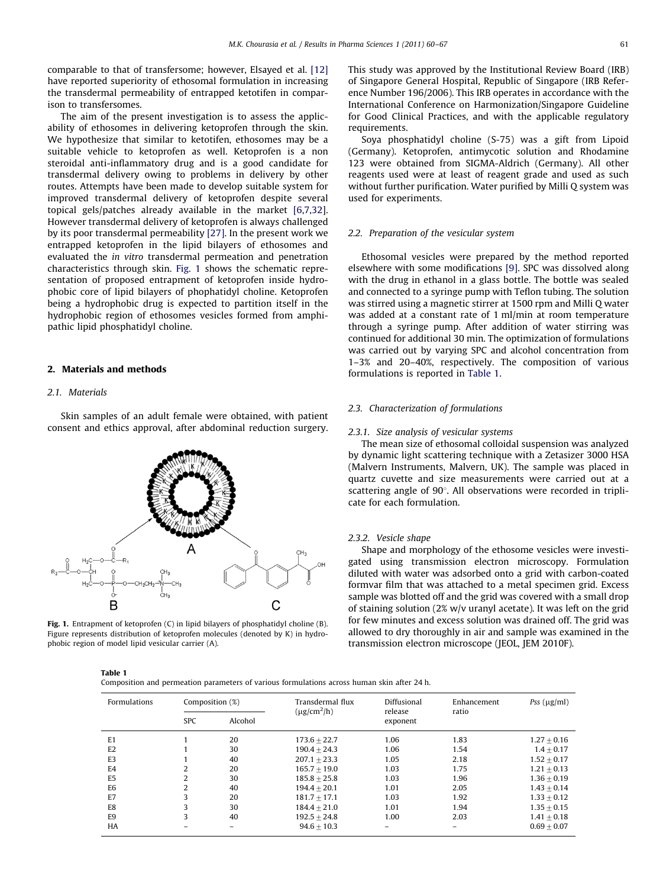<span id="page-1-0"></span>comparable to that of transfersome; however, Elsayed et al. [\[12\]](#page-7-0) have reported superiority of ethosomal formulation in increasing the transdermal permeability of entrapped ketotifen in comparison to transfersomes.

The aim of the present investigation is to assess the applicability of ethosomes in delivering ketoprofen through the skin. We hypothesize that similar to ketotifen, ethosomes may be a suitable vehicle to ketoprofen as well. Ketoprofen is a non steroidal anti-inflammatory drug and is a good candidate for transdermal delivery owing to problems in delivery by other routes. Attempts have been made to develop suitable system for improved transdermal delivery of ketoprofen despite several topical gels/patches already available in the market [\[6,7](#page-7-0),[32\]](#page-7-0). However transdermal delivery of ketoprofen is always challenged by its poor transdermal permeability [\[27\].](#page-7-0) In the present work we entrapped ketoprofen in the lipid bilayers of ethosomes and evaluated the in vitro transdermal permeation and penetration characteristics through skin. Fig. 1 shows the schematic representation of proposed entrapment of ketoprofen inside hydrophobic core of lipid bilayers of phophatidyl choline. Ketoprofen being a hydrophobic drug is expected to partition itself in the hydrophobic region of ethosomes vesicles formed from amphipathic lipid phosphatidyl choline.

# 2. Materials and methods

#### 2.1. Materials

Skin samples of an adult female were obtained, with patient consent and ethics approval, after abdominal reduction surgery.



Fig. 1. Entrapment of ketoprofen (C) in lipid bilayers of phosphatidyl choline (B). Figure represents distribution of ketoprofen molecules (denoted by K) in hydrophobic region of model lipid vesicular carrier (A).

This study was approved by the Institutional Review Board (IRB) of Singapore General Hospital, Republic of Singapore (IRB Reference Number 196/2006). This IRB operates in accordance with the International Conference on Harmonization/Singapore Guideline for Good Clinical Practices, and with the applicable regulatory requirements.

Soya phosphatidyl choline (S-75) was a gift from Lipoid (Germany). Ketoprofen, antimycotic solution and Rhodamine 123 were obtained from SIGMA-Aldrich (Germany). All other reagents used were at least of reagent grade and used as such without further purification. Water purified by Milli Q system was used for experiments.

#### 2.2. Preparation of the vesicular system

Ethosomal vesicles were prepared by the method reported elsewhere with some modifications [\[9\]](#page-7-0). SPC was dissolved along with the drug in ethanol in a glass bottle. The bottle was sealed and connected to a syringe pump with Teflon tubing. The solution was stirred using a magnetic stirrer at 1500 rpm and Milli Q water was added at a constant rate of 1 ml/min at room temperature through a syringe pump. After addition of water stirring was continued for additional 30 min. The optimization of formulations was carried out by varying SPC and alcohol concentration from 1–3% and 20–40%, respectively. The composition of various formulations is reported in Table 1.

# 2.3. Characterization of formulations

#### 2.3.1. Size analysis of vesicular systems

The mean size of ethosomal colloidal suspension was analyzed by dynamic light scattering technique with a Zetasizer 3000 HSA (Malvern Instruments, Malvern, UK). The sample was placed in quartz cuvette and size measurements were carried out at a scattering angle of  $90^\circ$ . All observations were recorded in triplicate for each formulation.

# 2.3.2. Vesicle shape

Shape and morphology of the ethosome vesicles were investigated using transmission electron microscopy. Formulation diluted with water was adsorbed onto a grid with carbon-coated formvar film that was attached to a metal specimen grid. Excess sample was blotted off and the grid was covered with a small drop of staining solution (2% w/v uranyl acetate). It was left on the grid for few minutes and excess solution was drained off. The grid was allowed to dry thoroughly in air and sample was examined in the transmission electron microscope (JEOL, JEM 2010F).

| <b>Formulations</b> | Composition (%) |         | Transdermal flux<br>$(\mu g/cm^2/h)$ | Diffusional<br>release | Enhancement<br>ratio | Pss $(\mu g/ml)$ |
|---------------------|-----------------|---------|--------------------------------------|------------------------|----------------------|------------------|
|                     | <b>SPC</b>      | Alcohol |                                      | exponent               |                      |                  |
| E <sub>1</sub>      |                 | 20      | $173.6 + 22.7$                       | 1.06                   | 1.83                 | $1.27 + 0.16$    |
| E <sub>2</sub>      |                 | 30      | $190.4 + 24.3$                       | 1.06                   | 1.54                 | $1.4 + 0.17$     |
| E <sub>3</sub>      |                 | 40      | $207.1 + 23.3$                       | 1.05                   | 2.18                 | $1.52 \pm 0.17$  |
| E4                  |                 | 20      | $165.7 + 19.0$                       | 1.03                   | 1.75                 | $1.21 + 0.13$    |
| E <sub>5</sub>      | 2               | 30      | $185.8 + 25.8$                       | 1.03                   | 1.96                 | $1.36 + 0.19$    |
| E <sub>6</sub>      | ำ               | 40      | $194.4 + 20.1$                       | 1.01                   | 2.05                 | $1.43 + 0.14$    |
| E7                  | ς               | 20      | $181.7 + 17.1$                       | 1.03                   | 1.92                 | $1.33 + 0.12$    |
| E8                  | 3               | 30      | $184.4 + 21.0$                       | 1.01                   | 1.94                 | $1.35 + 0.15$    |
| E <sub>9</sub>      | 3               | 40      | $192.5 + 24.8$                       | 1.00                   | 2.03                 | $1.41 + 0.18$    |
| <b>HA</b>           |                 |         | $94.6 + 10.3$                        |                        |                      | $0.69 + 0.07$    |

Table 1

Composition and permeation parameters of various formulations across human skin after 24 h.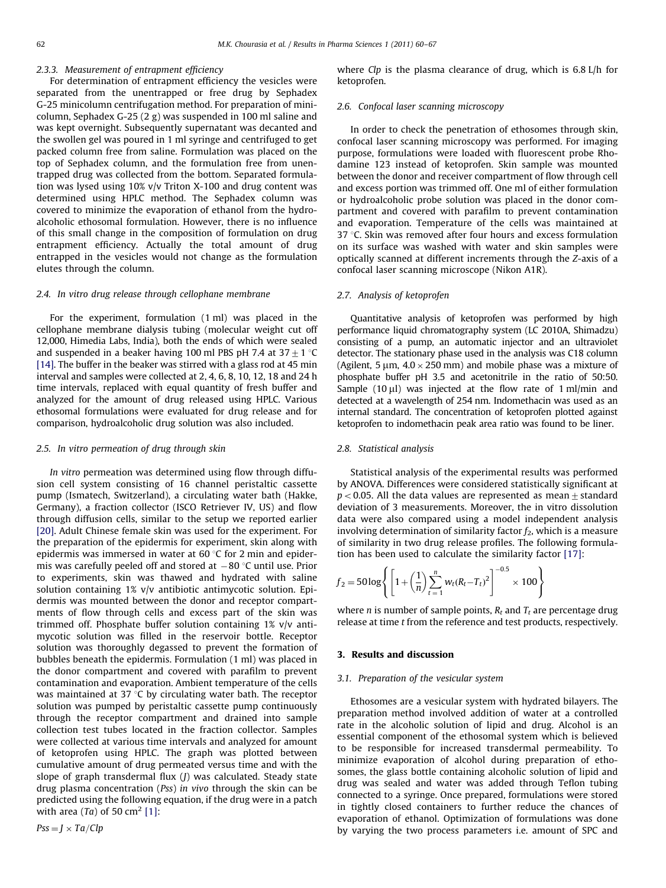## 2.3.3. Measurement of entrapment efficiency

For determination of entrapment efficiency the vesicles were separated from the unentrapped or free drug by Sephadex G-25 minicolumn centrifugation method. For preparation of minicolumn, Sephadex G-25 (2 g) was suspended in 100 ml saline and was kept overnight. Subsequently supernatant was decanted and the swollen gel was poured in 1 ml syringe and centrifuged to get packed column free from saline. Formulation was placed on the top of Sephadex column, and the formulation free from unentrapped drug was collected from the bottom. Separated formulation was lysed using 10% v/v Triton X-100 and drug content was determined using HPLC method. The Sephadex column was covered to minimize the evaporation of ethanol from the hydroalcoholic ethosomal formulation. However, there is no influence of this small change in the composition of formulation on drug entrapment efficiency. Actually the total amount of drug entrapped in the vesicles would not change as the formulation elutes through the column.

## 2.4. In vitro drug release through cellophane membrane

For the experiment, formulation (1 ml) was placed in the cellophane membrane dialysis tubing (molecular weight cut off 12,000, Himedia Labs, India), both the ends of which were sealed and suspended in a beaker having 100 ml PBS pH 7.4 at  $37 \pm 1$  °C [\[14\]](#page-7-0). The buffer in the beaker was stirred with a glass rod at 45 min interval and samples were collected at 2, 4, 6, 8, 10, 12, 18 and 24 h time intervals, replaced with equal quantity of fresh buffer and analyzed for the amount of drug released using HPLC. Various ethosomal formulations were evaluated for drug release and for comparison, hydroalcoholic drug solution was also included.

#### 2.5. In vitro permeation of drug through skin

In vitro permeation was determined using flow through diffusion cell system consisting of 16 channel peristaltic cassette pump (Ismatech, Switzerland), a circulating water bath (Hakke, Germany), a fraction collector (ISCO Retriever IV, US) and flow through diffusion cells, similar to the setup we reported earlier [\[20\]](#page-7-0). Adult Chinese female skin was used for the experiment. For the preparation of the epidermis for experiment, skin along with epidermis was immersed in water at  $60^{\circ}$ C for 2 min and epidermis was carefully peeled off and stored at  $-80\,^{\circ}$ C until use. Prior to experiments, skin was thawed and hydrated with saline solution containing 1% v/v antibiotic antimycotic solution. Epidermis was mounted between the donor and receptor compartments of flow through cells and excess part of the skin was trimmed off. Phosphate buffer solution containing 1% v/v antimycotic solution was filled in the reservoir bottle. Receptor solution was thoroughly degassed to prevent the formation of bubbles beneath the epidermis. Formulation (1 ml) was placed in the donor compartment and covered with parafilm to prevent contamination and evaporation. Ambient temperature of the cells was maintained at 37 $\degree$ C by circulating water bath. The receptor solution was pumped by peristaltic cassette pump continuously through the receptor compartment and drained into sample collection test tubes located in the fraction collector. Samples were collected at various time intervals and analyzed for amount of ketoprofen using HPLC. The graph was plotted between cumulative amount of drug permeated versus time and with the slope of graph transdermal flux (J) was calculated. Steady state drug plasma concentration (Pss) in vivo through the skin can be predicted using the following equation, if the drug were in a patch with area  $(Ta)$  of 50 cm<sup>2</sup> [\[1\]:](#page-7-0)

 $Pss = J \times Ta/Clp$ 

where  $Clp$  is the plasma clearance of drug, which is 6.8 L/h for ketoprofen.

#### 2.6. Confocal laser scanning microscopy

In order to check the penetration of ethosomes through skin, confocal laser scanning microscopy was performed. For imaging purpose, formulations were loaded with fluorescent probe Rhodamine 123 instead of ketoprofen. Skin sample was mounted between the donor and receiver compartment of flow through cell and excess portion was trimmed off. One ml of either formulation or hydroalcoholic probe solution was placed in the donor compartment and covered with parafilm to prevent contamination and evaporation. Temperature of the cells was maintained at  $37$  °C. Skin was removed after four hours and excess formulation on its surface was washed with water and skin samples were optically scanned at different increments through the Z-axis of a confocal laser scanning microscope (Nikon A1R).

# 2.7. Analysis of ketoprofen

Quantitative analysis of ketoprofen was performed by high performance liquid chromatography system (LC 2010A, Shimadzu) consisting of a pump, an automatic injector and an ultraviolet detector. The stationary phase used in the analysis was C18 column (Agilent, 5  $\mu$ m, 4.0  $\times$  250 mm) and mobile phase was a mixture of phosphate buffer pH 3.5 and acetonitrile in the ratio of 50:50. Sample  $(10 \mu l)$  was injected at the flow rate of 1 ml/min and detected at a wavelength of 254 nm. Indomethacin was used as an internal standard. The concentration of ketoprofen plotted against ketoprofen to indomethacin peak area ratio was found to be liner.

#### 2.8. Statistical analysis

Statistical analysis of the experimental results was performed by ANOVA. Differences were considered statistically significant at  $p < 0.05$ . All the data values are represented as mean  $\pm$  standard deviation of 3 measurements. Moreover, the in vitro dissolution data were also compared using a model independent analysis involving determination of similarity factor  $f_2$ , which is a measure of similarity in two drug release profiles. The following formulation has been used to calculate the similarity factor [\[17\]](#page-7-0):

$$
f_2 = 50 \log \left\{ \left[ 1 + \left( \frac{1}{n} \right) \sum_{t=1}^{n} w_t (R_t - T_t)^2 \right]^{-0.5} \times 100 \right\}
$$

where *n* is number of sample points,  $R_t$  and  $T_t$  are percentage drug release at time t from the reference and test products, respectively.

# 3. Results and discussion

# 3.1. Preparation of the vesicular system

Ethosomes are a vesicular system with hydrated bilayers. The preparation method involved addition of water at a controlled rate in the alcoholic solution of lipid and drug. Alcohol is an essential component of the ethosomal system which is believed to be responsible for increased transdermal permeability. To minimize evaporation of alcohol during preparation of ethosomes, the glass bottle containing alcoholic solution of lipid and drug was sealed and water was added through Teflon tubing connected to a syringe. Once prepared, formulations were stored in tightly closed containers to further reduce the chances of evaporation of ethanol. Optimization of formulations was done by varying the two process parameters i.e. amount of SPC and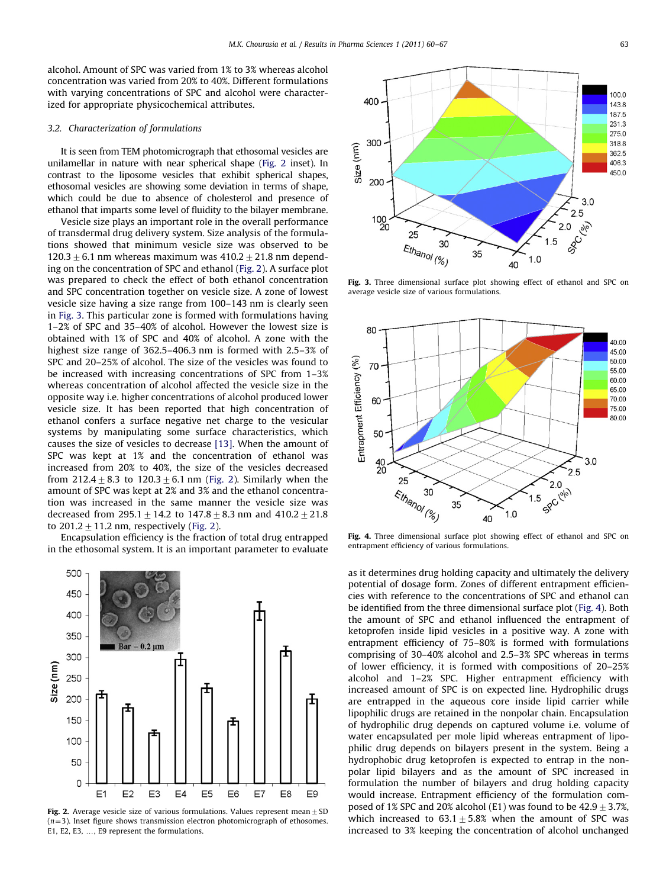alcohol. Amount of SPC was varied from 1% to 3% whereas alcohol concentration was varied from 20% to 40%. Different formulations with varying concentrations of SPC and alcohol were characterized for appropriate physicochemical attributes.

# 3.2. Characterization of formulations

It is seen from TEM photomicrograph that ethosomal vesicles are unilamellar in nature with near spherical shape (Fig. 2 inset). In contrast to the liposome vesicles that exhibit spherical shapes, ethosomal vesicles are showing some deviation in terms of shape, which could be due to absence of cholesterol and presence of ethanol that imparts some level of fluidity to the bilayer membrane.

Vesicle size plays an important role in the overall performance of transdermal drug delivery system. Size analysis of the formulations showed that minimum vesicle size was observed to be  $120.3+6.1$  nm whereas maximum was  $410.2+21.8$  nm depending on the concentration of SPC and ethanol (Fig. 2). A surface plot was prepared to check the effect of both ethanol concentration and SPC concentration together on vesicle size. A zone of lowest vesicle size having a size range from 100–143 nm is clearly seen in Fig. 3. This particular zone is formed with formulations having 1–2% of SPC and 35–40% of alcohol. However the lowest size is obtained with 1% of SPC and 40% of alcohol. A zone with the highest size range of 362.5–406.3 nm is formed with 2.5–3% of SPC and 20–25% of alcohol. The size of the vesicles was found to be increased with increasing concentrations of SPC from 1–3% whereas concentration of alcohol affected the vesicle size in the opposite way i.e. higher concentrations of alcohol produced lower vesicle size. It has been reported that high concentration of ethanol confers a surface negative net charge to the vesicular systems by manipulating some surface characteristics, which causes the size of vesicles to decrease [\[13\].](#page-7-0) When the amount of SPC was kept at 1% and the concentration of ethanol was increased from 20% to 40%, the size of the vesicles decreased from  $212.4 \pm 8.3$  to  $120.3 \pm 6.1$  nm (Fig. 2). Similarly when the amount of SPC was kept at 2% and 3% and the ethanol concentration was increased in the same manner the vesicle size was decreased from  $295.1 \pm 14.2$  to  $147.8 \pm 8.3$  nm and  $410.2 \pm 21.8$ to  $201.2 + 11.2$  nm, respectively (Fig. 2).

Encapsulation efficiency is the fraction of total drug entrapped in the ethosomal system. It is an important parameter to evaluate



Fig. 2. Average vesicle size of various formulations. Values represent mean  $+$  SD  $(n=3)$ . Inset figure shows transmission electron photomicrograph of ethosomes. E1, E2, E3, ..., E9 represent the formulations.



Fig. 3. Three dimensional surface plot showing effect of ethanol and SPC on average vesicle size of various formulations.



Fig. 4. Three dimensional surface plot showing effect of ethanol and SPC on entrapment efficiency of various formulations.

as it determines drug holding capacity and ultimately the delivery potential of dosage form. Zones of different entrapment efficiencies with reference to the concentrations of SPC and ethanol can be identified from the three dimensional surface plot (Fig. 4). Both the amount of SPC and ethanol influenced the entrapment of ketoprofen inside lipid vesicles in a positive way. A zone with entrapment efficiency of 75–80% is formed with formulations comprising of 30–40% alcohol and 2.5–3% SPC whereas in terms of lower efficiency, it is formed with compositions of 20–25% alcohol and 1–2% SPC. Higher entrapment efficiency with increased amount of SPC is on expected line. Hydrophilic drugs are entrapped in the aqueous core inside lipid carrier while lipophilic drugs are retained in the nonpolar chain. Encapsulation of hydrophilic drug depends on captured volume i.e. volume of water encapsulated per mole lipid whereas entrapment of lipophilic drug depends on bilayers present in the system. Being a hydrophobic drug ketoprofen is expected to entrap in the nonpolar lipid bilayers and as the amount of SPC increased in formulation the number of bilayers and drug holding capacity would increase. Entrapment efficiency of the formulation composed of 1% SPC and 20% alcohol (E1) was found to be  $42.9 \pm 3.7$ %, which increased to  $63.1 \pm 5.8$ % when the amount of SPC was increased to 3% keeping the concentration of alcohol unchanged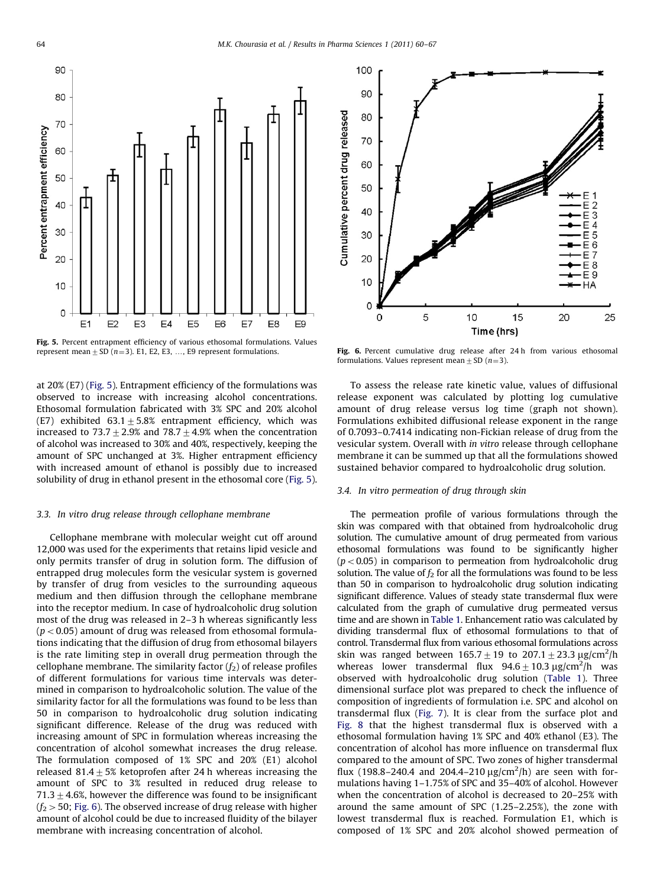

**Fig. 5.** Percent entrapment efficiency of various ethosomal formulations. Values represent mean  $\pm$  SD (*n*=3). E1, E2, E3, ..., E9 represent formulations.

at 20% (E7) (Fig. 5). Entrapment efficiency of the formulations was observed to increase with increasing alcohol concentrations. Ethosomal formulation fabricated with 3% SPC and 20% alcohol (E7) exhibited  $63.1 \pm 5.8$ % entrapment efficiency, which was increased to 73.7  $\pm$  2.9% and 78.7  $\pm$  4.9% when the concentration of alcohol was increased to 30% and 40%, respectively, keeping the amount of SPC unchanged at 3%. Higher entrapment efficiency with increased amount of ethanol is possibly due to increased solubility of drug in ethanol present in the ethosomal core (Fig. 5).

#### 3.3. In vitro drug release through cellophane membrane

Cellophane membrane with molecular weight cut off around 12,000 was used for the experiments that retains lipid vesicle and only permits transfer of drug in solution form. The diffusion of entrapped drug molecules form the vesicular system is governed by transfer of drug from vesicles to the surrounding aqueous medium and then diffusion through the cellophane membrane into the receptor medium. In case of hydroalcoholic drug solution most of the drug was released in 2–3 h whereas significantly less  $(p<0.05)$  amount of drug was released from ethosomal formulations indicating that the diffusion of drug from ethosomal bilayers is the rate limiting step in overall drug permeation through the cellophane membrane. The similarity factor  $(f_2)$  of release profiles of different formulations for various time intervals was determined in comparison to hydroalcoholic solution. The value of the similarity factor for all the formulations was found to be less than 50 in comparison to hydroalcoholic drug solution indicating significant difference. Release of the drug was reduced with increasing amount of SPC in formulation whereas increasing the concentration of alcohol somewhat increases the drug release. The formulation composed of 1% SPC and 20% (E1) alcohol released  $81.4+5%$  ketoprofen after 24 h whereas increasing the amount of SPC to 3% resulted in reduced drug release to  $71.3+4.6%$ , however the difference was found to be insignificant  $(f<sub>2</sub> > 50;$  Fig. 6). The observed increase of drug release with higher amount of alcohol could be due to increased fluidity of the bilayer membrane with increasing concentration of alcohol.



Fig. 6. Percent cumulative drug release after 24 h from various ethosomal formulations. Values represent mean  $\pm$  SD (n=3).

To assess the release rate kinetic value, values of diffusional release exponent was calculated by plotting log cumulative amount of drug release versus log time (graph not shown). Formulations exhibited diffusional release exponent in the range of 0.7093–0.7414 indicating non-Fickian release of drug from the vesicular system. Overall with in vitro release through cellophane membrane it can be summed up that all the formulations showed sustained behavior compared to hydroalcoholic drug solution.

#### 3.4. In vitro permeation of drug through skin

The permeation profile of various formulations through the skin was compared with that obtained from hydroalcoholic drug solution. The cumulative amount of drug permeated from various ethosomal formulations was found to be significantly higher  $(p<0.05)$  in comparison to permeation from hydroalcoholic drug solution. The value of  $f_2$  for all the formulations was found to be less than 50 in comparison to hydroalcoholic drug solution indicating significant difference. Values of steady state transdermal flux were calculated from the graph of cumulative drug permeated versus time and are shown in [Table 1](#page-1-0). Enhancement ratio was calculated by dividing transdermal flux of ethosomal formulations to that of control. Transdermal flux from various ethosomal formulations across skin was ranged between  $165.7 \pm 19$  to  $207.1 \pm 23.3$   $\mu$ g/cm<sup>2</sup>/h whereas lower transdermal flux  $94.6 \pm 10.3$   $\mu$ g/cm<sup>2</sup>/h was observed with hydroalcoholic drug solution ([Table 1\)](#page-1-0). Three dimensional surface plot was prepared to check the influence of composition of ingredients of formulation i.e. SPC and alcohol on transdermal flux [\(Fig. 7\)](#page-5-0). It is clear from the surface plot and [Fig. 8](#page-5-0) that the highest transdermal flux is observed with a ethosomal formulation having 1% SPC and 40% ethanol (E3). The concentration of alcohol has more influence on transdermal flux compared to the amount of SPC. Two zones of higher transdermal flux (198.8-240.4 and 204.4-210  $\mu$ g/cm<sup>2</sup>/h) are seen with formulations having 1–1.75% of SPC and 35–40% of alcohol. However when the concentration of alcohol is decreased to 20–25% with around the same amount of SPC (1.25–2.25%), the zone with lowest transdermal flux is reached. Formulation E1, which is composed of 1% SPC and 20% alcohol showed permeation of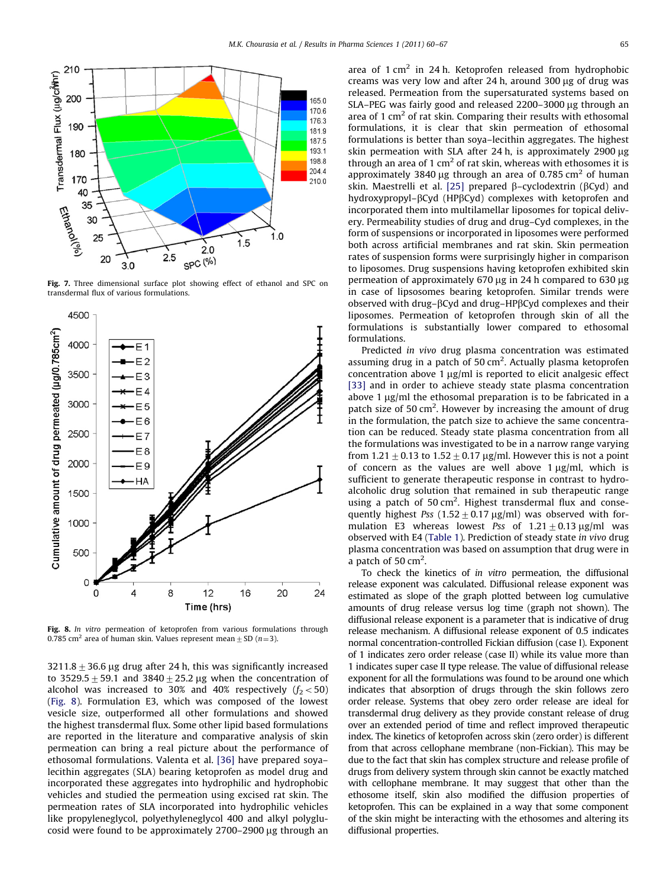<span id="page-5-0"></span>

Fig. 7. Three dimensional surface plot showing effect of ethanol and SPC on transdermal flux of various formulations.



Fig. 8. In vitro permeation of ketoprofen from various formulations through 0.785 cm<sup>2</sup> area of human skin. Values represent mean  $\pm$  SD (n=3).

3211.8  $\pm$  36.6 µg drug after 24 h, this was significantly increased to 3529.5  $\pm$  59.1 and 3840  $\pm$  25.2 µg when the concentration of alcohol was increased to 30% and 40% respectively  $(f_2 < 50)$ (Fig. 8). Formulation E3, which was composed of the lowest vesicle size, outperformed all other formulations and showed the highest transdermal flux. Some other lipid based formulations are reported in the literature and comparative analysis of skin permeation can bring a real picture about the performance of ethosomal formulations. Valenta et al. [\[36\]](#page-7-0) have prepared soya– lecithin aggregates (SLA) bearing ketoprofen as model drug and incorporated these aggregates into hydrophilic and hydrophobic vehicles and studied the permeation using excised rat skin. The permeation rates of SLA incorporated into hydrophilic vehicles like propyleneglycol, polyethyleneglycol 400 and alkyl polyglucosid were found to be approximately  $2700-2900 \mu g$  through an area of  $1 \text{ cm}^2$  in 24 h. Ketoprofen released from hydrophobic creams was very low and after 24 h, around 300  $\mu$ g of drug was released. Permeation from the supersaturated systems based on SLA-PEG was fairly good and released 2200-3000 µg through an area of 1  $\text{cm}^2$  of rat skin. Comparing their results with ethosomal formulations, it is clear that skin permeation of ethosomal formulations is better than soya–lecithin aggregates. The highest skin permeation with SLA after 24 h, is approximately  $2900 \mu g$ through an area of 1  $\text{cm}^2$  of rat skin, whereas with ethosomes it is approximately 3840 µg through an area of 0.785 cm<sup>2</sup> of human skin. Maestrelli et al. [\[25\]](#page-7-0) prepared B-cyclodextrin (BCyd) and hydroxypropyl–BCyd (HPBCyd) complexes with ketoprofen and incorporated them into multilamellar liposomes for topical delivery. Permeability studies of drug and drug–Cyd complexes, in the form of suspensions or incorporated in liposomes were performed both across artificial membranes and rat skin. Skin permeation rates of suspension forms were surprisingly higher in comparison to liposomes. Drug suspensions having ketoprofen exhibited skin permeation of approximately 670 µg in 24 h compared to 630 µg in case of lipsosomes bearing ketoprofen. Similar trends were observed with drug– $\beta$ Cyd and drug–HP $\beta$ Cyd complexes and their liposomes. Permeation of ketoprofen through skin of all the formulations is substantially lower compared to ethosomal formulations.

Predicted in vivo drug plasma concentration was estimated assuming drug in a patch of 50  $\text{cm}^2$ . Actually plasma ketoprofen concentration above 1  $\mu$ g/ml is reported to elicit analgesic effect [\[33\]](#page-7-0) and in order to achieve steady state plasma concentration above 1  $\mu$ g/ml the ethosomal preparation is to be fabricated in a patch size of 50  $\text{cm}^2$ . However by increasing the amount of drug in the formulation, the patch size to achieve the same concentration can be reduced. Steady state plasma concentration from all the formulations was investigated to be in a narrow range varying from 1.21  $\pm$  0.13 to 1.52  $\pm$  0.17 µg/ml. However this is not a point of concern as the values are well above  $1 \mu g/ml$ , which is sufficient to generate therapeutic response in contrast to hydroalcoholic drug solution that remained in sub therapeutic range using a patch of 50 cm<sup>2</sup>. Highest transdermal flux and consequently highest Pss  $(1.52 \pm 0.17 \,\mu$ g/ml) was observed with formulation E3 whereas lowest Pss of  $1.21 \pm 0.13$  µg/ml was observed with E4 [\(Table 1](#page-1-0)). Prediction of steady state in vivo drug plasma concentration was based on assumption that drug were in a patch of  $50 \text{ cm}^2$ .

To check the kinetics of in vitro permeation, the diffusional release exponent was calculated. Diffusional release exponent was estimated as slope of the graph plotted between log cumulative amounts of drug release versus log time (graph not shown). The diffusional release exponent is a parameter that is indicative of drug release mechanism. A diffusional release exponent of 0.5 indicates normal concentration-controlled Fickian diffusion (case I). Exponent of 1 indicates zero order release (case II) while its value more than 1 indicates super case II type release. The value of diffusional release exponent for all the formulations was found to be around one which indicates that absorption of drugs through the skin follows zero order release. Systems that obey zero order release are ideal for transdermal drug delivery as they provide constant release of drug over an extended period of time and reflect improved therapeutic index. The kinetics of ketoprofen across skin (zero order) is different from that across cellophane membrane (non-Fickian). This may be due to the fact that skin has complex structure and release profile of drugs from delivery system through skin cannot be exactly matched with cellophane membrane. It may suggest that other than the ethosome itself, skin also modified the diffusion properties of ketoprofen. This can be explained in a way that some component of the skin might be interacting with the ethosomes and altering its diffusional properties.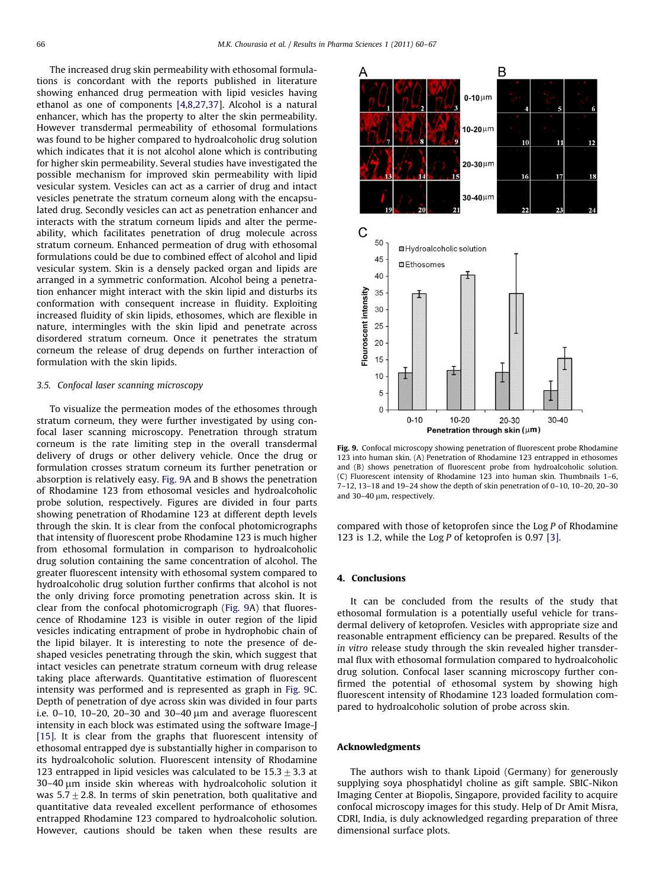The increased drug skin permeability with ethosomal formulations is concordant with the reports published in literature showing enhanced drug permeation with lipid vesicles having ethanol as one of components [\[4,8,27,37\]](#page-7-0). Alcohol is a natural enhancer, which has the property to alter the skin permeability. However transdermal permeability of ethosomal formulations was found to be higher compared to hydroalcoholic drug solution which indicates that it is not alcohol alone which is contributing for higher skin permeability. Several studies have investigated the possible mechanism for improved skin permeability with lipid vesicular system. Vesicles can act as a carrier of drug and intact vesicles penetrate the stratum corneum along with the encapsulated drug. Secondly vesicles can act as penetration enhancer and interacts with the stratum corneum lipids and alter the permeability, which facilitates penetration of drug molecule across stratum corneum. Enhanced permeation of drug with ethosomal formulations could be due to combined effect of alcohol and lipid vesicular system. Skin is a densely packed organ and lipids are arranged in a symmetric conformation. Alcohol being a penetration enhancer might interact with the skin lipid and disturbs its conformation with consequent increase in fluidity. Exploiting increased fluidity of skin lipids, ethosomes, which are flexible in nature, intermingles with the skin lipid and penetrate across disordered stratum corneum. Once it penetrates the stratum corneum the release of drug depends on further interaction of formulation with the skin lipids.

# 3.5. Confocal laser scanning microscopy

To visualize the permeation modes of the ethosomes through stratum corneum, they were further investigated by using confocal laser scanning microscopy. Penetration through stratum corneum is the rate limiting step in the overall transdermal delivery of drugs or other delivery vehicle. Once the drug or formulation crosses stratum corneum its further penetration or absorption is relatively easy. Fig. 9A and B shows the penetration of Rhodamine 123 from ethosomal vesicles and hydroalcoholic probe solution, respectively. Figures are divided in four parts showing penetration of Rhodamine 123 at different depth levels through the skin. It is clear from the confocal photomicrographs that intensity of fluorescent probe Rhodamine 123 is much higher from ethosomal formulation in comparison to hydroalcoholic drug solution containing the same concentration of alcohol. The greater fluorescent intensity with ethosomal system compared to hydroalcoholic drug solution further confirms that alcohol is not the only driving force promoting penetration across skin. It is clear from the confocal photomicrograph (Fig. 9A) that fluorescence of Rhodamine 123 is visible in outer region of the lipid vesicles indicating entrapment of probe in hydrophobic chain of the lipid bilayer. It is interesting to note the presence of deshaped vesicles penetrating through the skin, which suggest that intact vesicles can penetrate stratum corneum with drug release taking place afterwards. Quantitative estimation of fluorescent intensity was performed and is represented as graph in Fig. 9C. Depth of penetration of dye across skin was divided in four parts i.e.  $0-10$ ,  $10-20$ ,  $20-30$  and  $30-40 \mu m$  and average fluorescent intensity in each block was estimated using the software Image-J [\[15\]](#page-7-0). It is clear from the graphs that fluorescent intensity of ethosomal entrapped dye is substantially higher in comparison to its hydroalcoholic solution. Fluorescent intensity of Rhodamine 123 entrapped in lipid vesicles was calculated to be  $15.3\pm3.3$  at 30–40 µm inside skin whereas with hydroalcoholic solution it was  $5.7+2.8$ . In terms of skin penetration, both qualitative and quantitative data revealed excellent performance of ethosomes entrapped Rhodamine 123 compared to hydroalcoholic solution. However, cautions should be taken when these results are



Fig. 9. Confocal microscopy showing penetration of fluorescent probe Rhodamine 123 into human skin. (A) Penetration of Rhodamine 123 entrapped in ethosomes and (B) shows penetration of fluorescent probe from hydroalcoholic solution. (C) Fluorescent intensity of Rhodamine 123 into human skin. Thumbnails 1–6, 7–12, 13–18 and 19–24 show the depth of skin penetration of 0–10, 10–20, 20–30 and 30-40  $\mu$ m, respectively.

compared with those of ketoprofen since the Log P of Rhodamine 123 is 1.2, while the Log P of ketoprofen is 0.97 [\[3\].](#page-7-0)

# 4. Conclusions

It can be concluded from the results of the study that ethosomal formulation is a potentially useful vehicle for transdermal delivery of ketoprofen. Vesicles with appropriate size and reasonable entrapment efficiency can be prepared. Results of the in vitro release study through the skin revealed higher transdermal flux with ethosomal formulation compared to hydroalcoholic drug solution. Confocal laser scanning microscopy further confirmed the potential of ethosomal system by showing high fluorescent intensity of Rhodamine 123 loaded formulation compared to hydroalcoholic solution of probe across skin.

# Acknowledgments

The authors wish to thank Lipoid (Germany) for generously supplying soya phosphatidyl choline as gift sample. SBIC-Nikon Imaging Center at Biopolis, Singapore, provided facility to acquire confocal microscopy images for this study. Help of Dr Amit Misra, CDRI, India, is duly acknowledged regarding preparation of three dimensional surface plots.